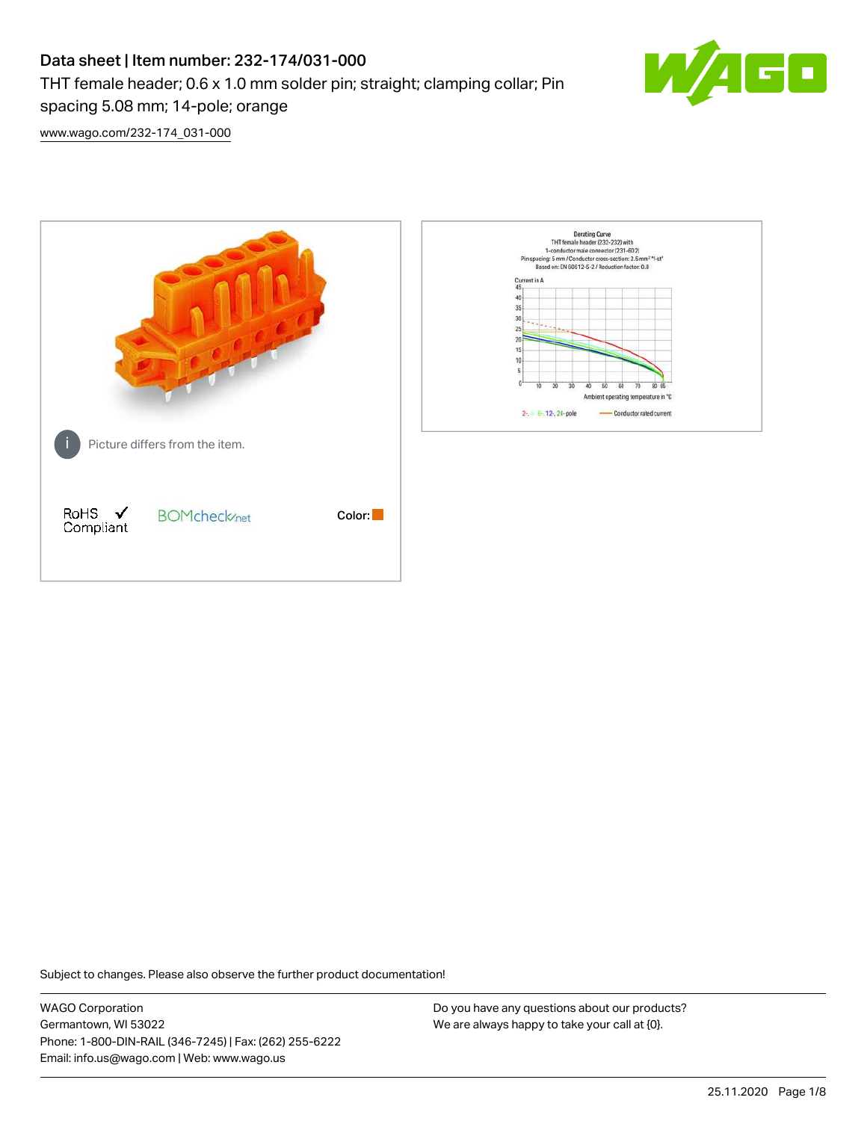# Data sheet | Item number: 232-174/031-000 THT female header; 0.6 x 1.0 mm solder pin; straight; clamping collar; Pin spacing 5.08 mm; 14-pole; orange



[www.wago.com/232-174\\_031-000](http://www.wago.com/232-174_031-000)



Subject to changes. Please also observe the further product documentation!

WAGO Corporation Germantown, WI 53022 Phone: 1-800-DIN-RAIL (346-7245) | Fax: (262) 255-6222 Email: info.us@wago.com | Web: www.wago.us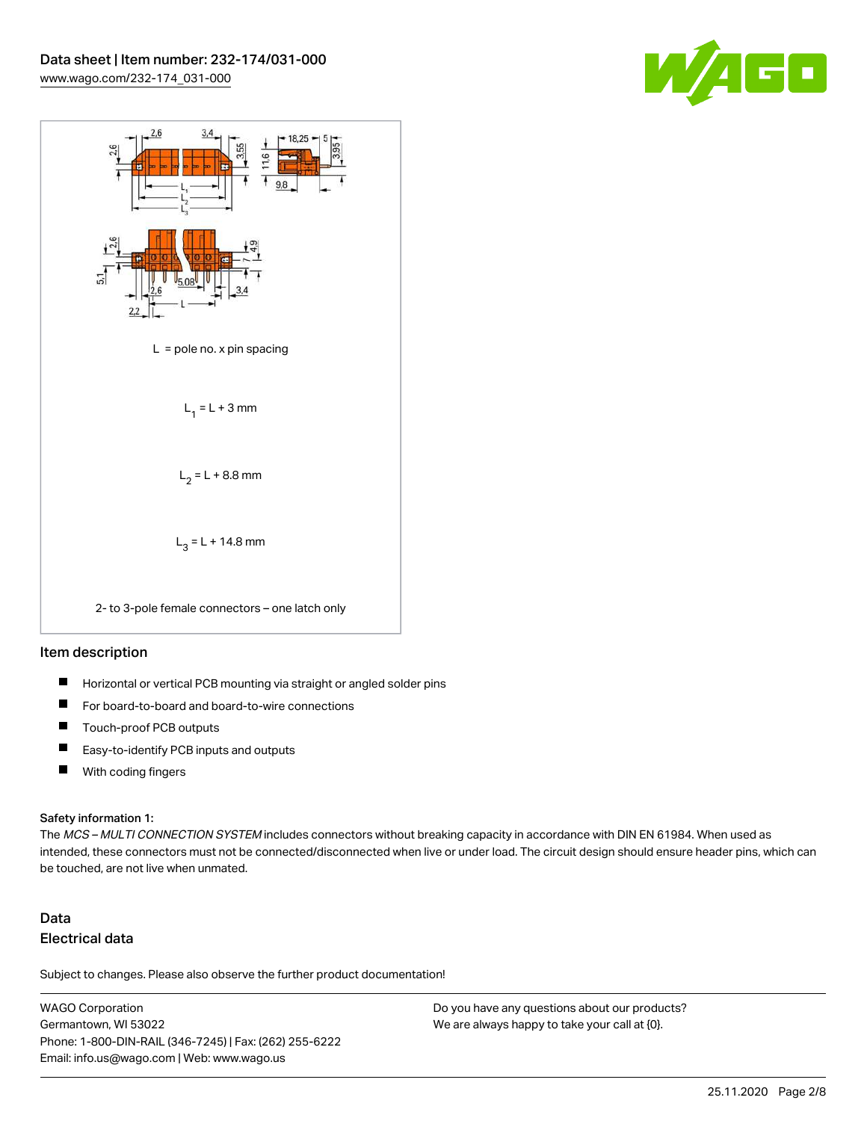



#### Item description

- $\blacksquare$ Horizontal or vertical PCB mounting via straight or angled solder pins
- П For board-to-board and board-to-wire connections
- $\blacksquare$ Touch-proof PCB outputs
- $\blacksquare$ Easy-to-identify PCB inputs and outputs
- $\blacksquare$ With coding fingers

#### Safety information 1:

The MCS - MULTI CONNECTION SYSTEM includes connectors without breaking capacity in accordance with DIN EN 61984. When used as intended, these connectors must not be connected/disconnected when live or under load. The circuit design should ensure header pins, which can be touched, are not live when unmated.

# Data Electrical data

Subject to changes. Please also observe the further product documentation!

WAGO Corporation Germantown, WI 53022 Phone: 1-800-DIN-RAIL (346-7245) | Fax: (262) 255-6222 Email: info.us@wago.com | Web: www.wago.us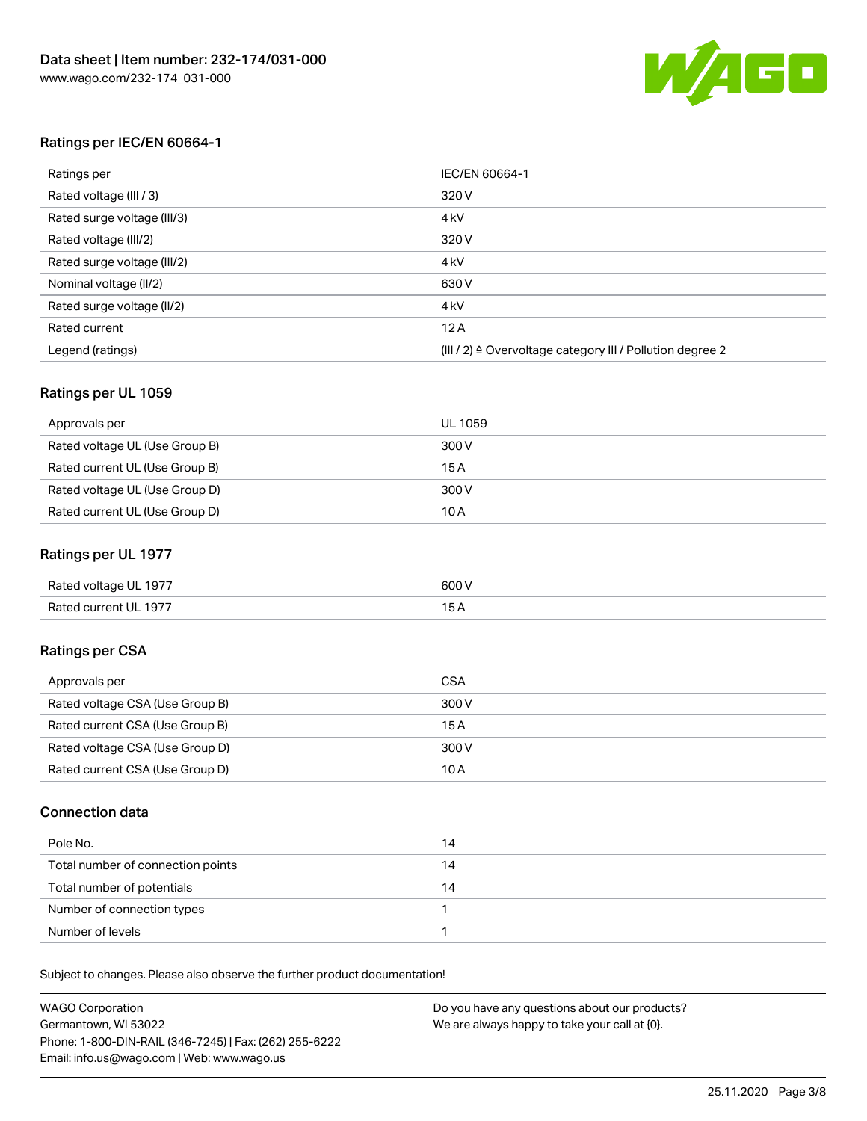

# Ratings per IEC/EN 60664-1

| Ratings per                 | IEC/EN 60664-1                                                        |
|-----------------------------|-----------------------------------------------------------------------|
| Rated voltage (III / 3)     | 320 V                                                                 |
| Rated surge voltage (III/3) | 4 <sub>k</sub> V                                                      |
| Rated voltage (III/2)       | 320 V                                                                 |
| Rated surge voltage (III/2) | 4 <sub>k</sub> V                                                      |
| Nominal voltage (II/2)      | 630 V                                                                 |
| Rated surge voltage (II/2)  | 4 <sub>k</sub> V                                                      |
| Rated current               | 12A                                                                   |
| Legend (ratings)            | $(III / 2)$ $\triangle$ Overvoltage category III / Pollution degree 2 |

# Ratings per UL 1059

| Approvals per                  | UL 1059 |
|--------------------------------|---------|
| Rated voltage UL (Use Group B) | 300 V   |
| Rated current UL (Use Group B) | 15 A    |
| Rated voltage UL (Use Group D) | 300 V   |
| Rated current UL (Use Group D) | 10A     |

# Ratings per UL 1977

| Rated voltage UL 1977 | 600 <sup>V</sup><br>. |
|-----------------------|-----------------------|
| Rated current UL 1977 |                       |

# Ratings per CSA

| Approvals per                   | CSA   |
|---------------------------------|-------|
| Rated voltage CSA (Use Group B) | 300 V |
| Rated current CSA (Use Group B) | 15 A  |
| Rated voltage CSA (Use Group D) | 300 V |
| Rated current CSA (Use Group D) | 10 A  |

# Connection data

| Pole No.                          | 14 |
|-----------------------------------|----|
| Total number of connection points | 14 |
| Total number of potentials        | 14 |
| Number of connection types        |    |
| Number of levels                  |    |

Subject to changes. Please also observe the further product documentation!

| <b>WAGO Corporation</b>                                | Do you have any questions about our products? |
|--------------------------------------------------------|-----------------------------------------------|
| Germantown, WI 53022                                   | We are always happy to take your call at {0}. |
| Phone: 1-800-DIN-RAIL (346-7245)   Fax: (262) 255-6222 |                                               |
| Email: info.us@wago.com   Web: www.wago.us             |                                               |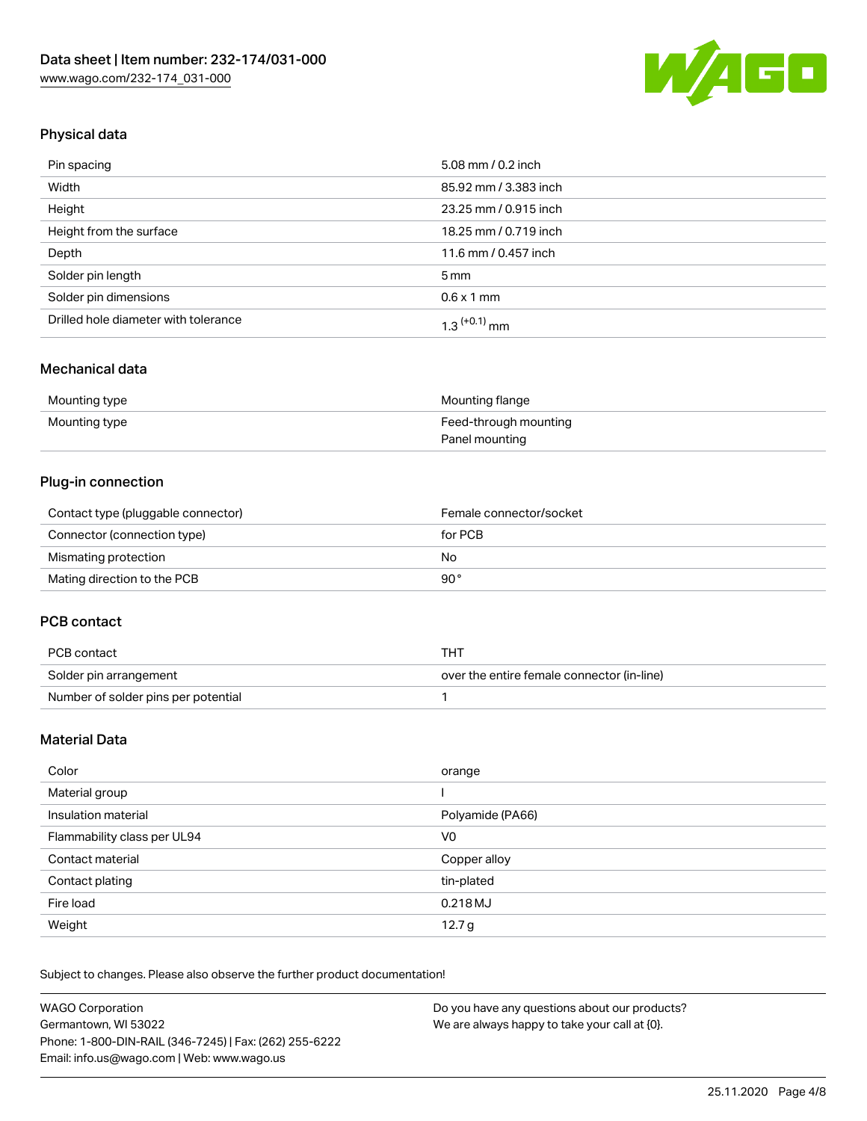

# Physical data

| Pin spacing                          | 5.08 mm / 0.2 inch    |
|--------------------------------------|-----------------------|
| Width                                | 85.92 mm / 3.383 inch |
| Height                               | 23.25 mm / 0.915 inch |
| Height from the surface              | 18.25 mm / 0.719 inch |
| Depth                                | 11.6 mm / 0.457 inch  |
| Solder pin length                    | $5 \,\mathrm{mm}$     |
| Solder pin dimensions                | $0.6 \times 1$ mm     |
| Drilled hole diameter with tolerance | $1.3$ $(+0.1)$ mm     |

# Mechanical data

| Mounting type | Mounting flange       |
|---------------|-----------------------|
| Mounting type | Feed-through mounting |
|               | Panel mounting        |

# Plug-in connection

| Contact type (pluggable connector) | Female connector/socket |
|------------------------------------|-------------------------|
| Connector (connection type)        | for PCB                 |
| Mismating protection               | No                      |
| Mating direction to the PCB        | 90°                     |

# PCB contact

| PCB contact                         | THT                                        |
|-------------------------------------|--------------------------------------------|
| Solder pin arrangement              | over the entire female connector (in-line) |
| Number of solder pins per potential |                                            |

# Material Data

| Color                       | orange            |
|-----------------------------|-------------------|
| Material group              |                   |
| Insulation material         | Polyamide (PA66)  |
| Flammability class per UL94 | V0                |
| Contact material            | Copper alloy      |
| Contact plating             | tin-plated        |
| Fire load                   | 0.218 MJ          |
| Weight                      | 12.7 <sub>g</sub> |

Subject to changes. Please also observe the further product documentation!

| <b>WAGO Corporation</b>                                | Do you have any questions about our products? |
|--------------------------------------------------------|-----------------------------------------------|
| Germantown, WI 53022                                   | We are always happy to take your call at {0}. |
| Phone: 1-800-DIN-RAIL (346-7245)   Fax: (262) 255-6222 |                                               |
| Email: info.us@wago.com   Web: www.wago.us             |                                               |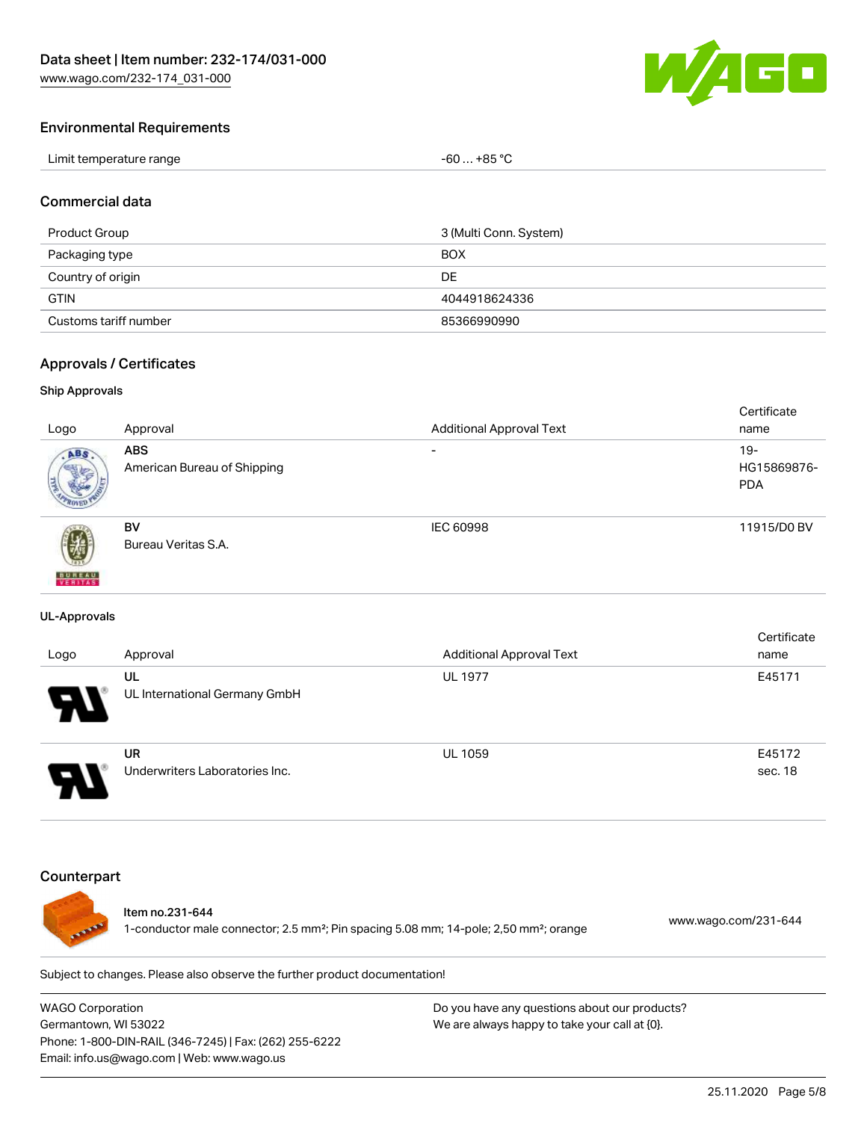

#### Environmental Requirements

| Limit temperature range | +85 °C<br>-60 |
|-------------------------|---------------|
|-------------------------|---------------|

#### Commercial data

| Product Group         | 3 (Multi Conn. System) |
|-----------------------|------------------------|
| Packaging type        | <b>BOX</b>             |
| Country of origin     | DE.                    |
| <b>GTIN</b>           | 4044918624336          |
| Customs tariff number | 85366990990            |

#### Approvals / Certificates

#### Ship Approvals

| Logo               | Approval                                  | <b>Additional Approval Text</b> | Certificate<br>name                 |
|--------------------|-------------------------------------------|---------------------------------|-------------------------------------|
| ABS.               | <b>ABS</b><br>American Bureau of Shipping | $\overline{\phantom{a}}$        | $19 -$<br>HG15869876-<br><b>PDA</b> |
| 遡<br><b>BUREAU</b> | BV<br>Bureau Veritas S.A.                 | <b>IEC 60998</b>                | 11915/D0 BV                         |

#### UL-Approvals

| Logo                       | Approval                                    | <b>Additional Approval Text</b> | Certificate<br>name |
|----------------------------|---------------------------------------------|---------------------------------|---------------------|
| $\boldsymbol{\mathcal{A}}$ | UL<br>UL International Germany GmbH         | <b>UL 1977</b>                  | E45171              |
|                            | <b>UR</b><br>Underwriters Laboratories Inc. | <b>UL 1059</b>                  | E45172<br>sec. 18   |

## **Counterpart**



## Item no.231-644

1-conductor male connector; 2.5 mm²; Pin spacing 5.08 mm; 14-pole; 2,50 mm²; orange [www.wago.com/231-644](https://www.wago.com/231-644)

Subject to changes. Please also observe the further product documentation!

WAGO Corporation Germantown, WI 53022 Phone: 1-800-DIN-RAIL (346-7245) | Fax: (262) 255-6222 Email: info.us@wago.com | Web: www.wago.us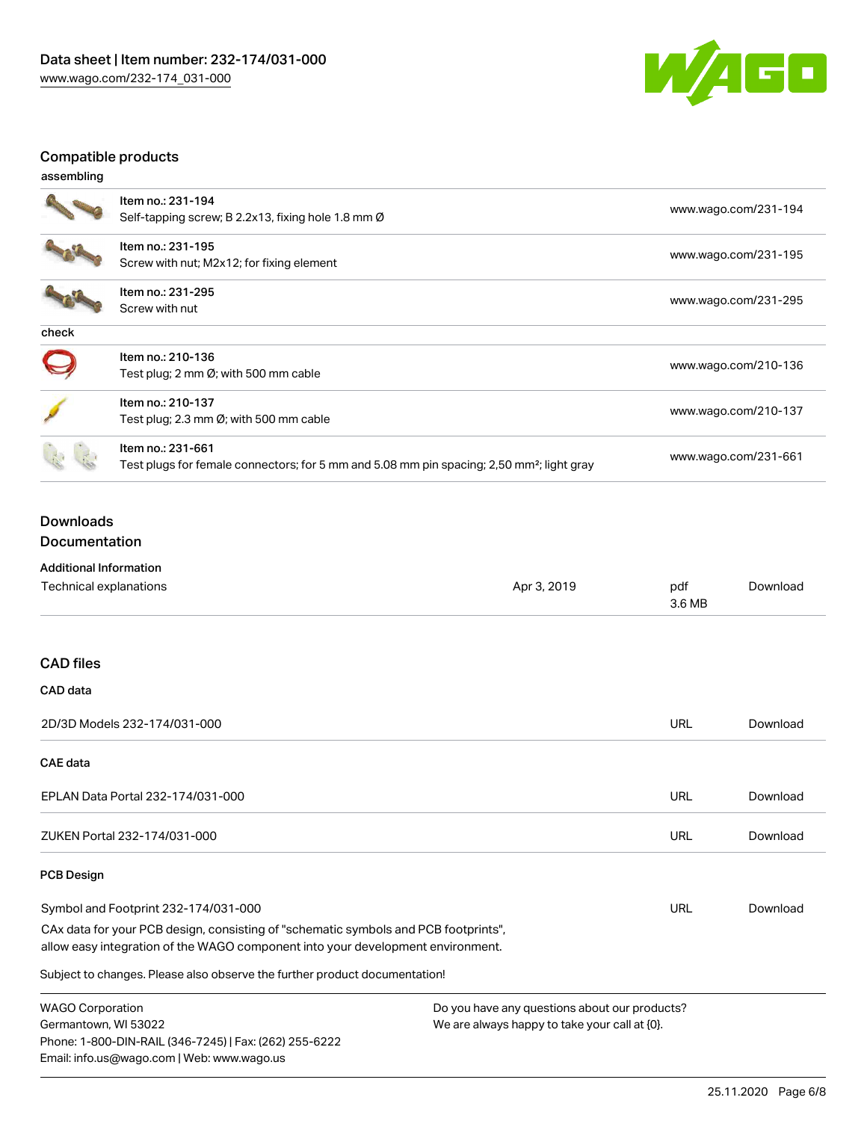

# Compatible products

| assembling |                                                                                                                            |                      |
|------------|----------------------------------------------------------------------------------------------------------------------------|----------------------|
|            | Item no.: 231-194<br>Self-tapping screw; B 2.2x13, fixing hole 1.8 mm $\varnothing$                                        | www.wago.com/231-194 |
|            | Item no.: 231-195<br>Screw with nut; M2x12; for fixing element                                                             | www.wago.com/231-195 |
|            | Item no.: 231-295<br>Screw with nut                                                                                        | www.wago.com/231-295 |
| check      |                                                                                                                            |                      |
|            | Item no.: 210-136<br>Test plug; 2 mm $\varnothing$ ; with 500 mm cable                                                     | www.wago.com/210-136 |
|            | Item no.: 210-137<br>Test plug; 2.3 mm $\varnothing$ ; with 500 mm cable                                                   | www.wago.com/210-137 |
|            | Item no.: 231-661<br>Test plugs for female connectors; for 5 mm and 5.08 mm pin spacing; 2,50 mm <sup>2</sup> ; light gray | www.wago.com/231-661 |

# Downloads

Documentation

Phone: 1-800-DIN-RAIL (346-7245) | Fax: (262) 255-6222

Email: info.us@wago.com | Web: www.wago.us

| <b>Additional Information</b>                                                                                                                                          |                                               |               |          |
|------------------------------------------------------------------------------------------------------------------------------------------------------------------------|-----------------------------------------------|---------------|----------|
| Technical explanations                                                                                                                                                 | Apr 3, 2019                                   | pdf<br>3.6 MB | Download |
|                                                                                                                                                                        |                                               |               |          |
| <b>CAD files</b>                                                                                                                                                       |                                               |               |          |
| CAD data                                                                                                                                                               |                                               |               |          |
| 2D/3D Models 232-174/031-000                                                                                                                                           |                                               | <b>URL</b>    | Download |
| <b>CAE</b> data                                                                                                                                                        |                                               |               |          |
| EPLAN Data Portal 232-174/031-000                                                                                                                                      |                                               | URL           | Download |
| ZUKEN Portal 232-174/031-000                                                                                                                                           |                                               | URL           | Download |
| <b>PCB Design</b>                                                                                                                                                      |                                               |               |          |
| Symbol and Footprint 232-174/031-000                                                                                                                                   |                                               | URL           | Download |
| CAx data for your PCB design, consisting of "schematic symbols and PCB footprints",<br>allow easy integration of the WAGO component into your development environment. |                                               |               |          |
| Subject to changes. Please also observe the further product documentation!                                                                                             |                                               |               |          |
| <b>WAGO Corporation</b>                                                                                                                                                | Do you have any questions about our products? |               |          |
| Germantown, WI 53022                                                                                                                                                   | We are always happy to take your call at {0}. |               |          |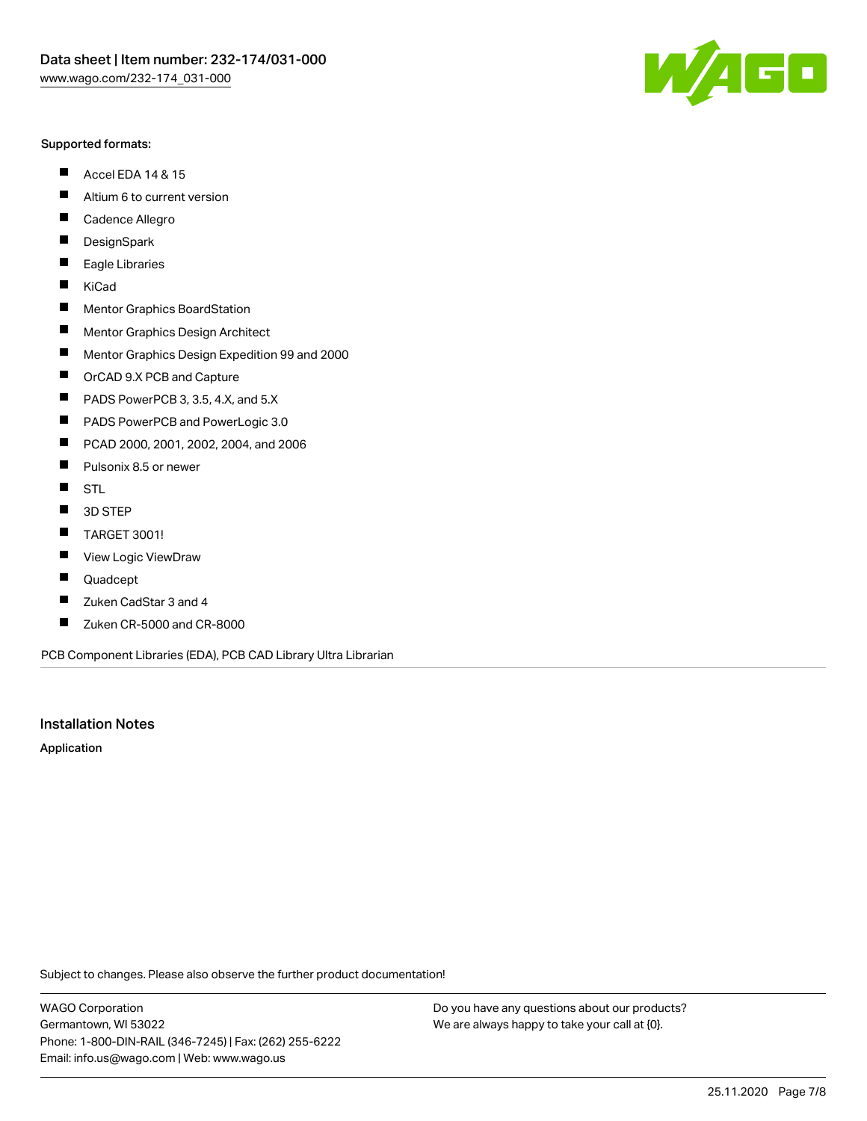#### Supported formats:

- $\blacksquare$ Accel EDA 14 & 15
- $\blacksquare$ Altium 6 to current version
- $\blacksquare$ Cadence Allegro
- $\blacksquare$ **DesignSpark**
- $\blacksquare$ Eagle Libraries
- $\blacksquare$ KiCad
- $\blacksquare$ Mentor Graphics BoardStation
- $\blacksquare$ Mentor Graphics Design Architect
- $\blacksquare$ Mentor Graphics Design Expedition 99 and 2000
- $\blacksquare$ OrCAD 9.X PCB and Capture
- $\blacksquare$ PADS PowerPCB 3, 3.5, 4.X, and 5.X
- $\blacksquare$ PADS PowerPCB and PowerLogic 3.0
- $\blacksquare$ PCAD 2000, 2001, 2002, 2004, and 2006
- $\blacksquare$ Pulsonix 8.5 or newer
- $\blacksquare$ STL
- 3D STEP П
- $\blacksquare$ TARGET 3001!
- $\blacksquare$ View Logic ViewDraw
- $\blacksquare$ Quadcept
- Zuken CadStar 3 and 4  $\blacksquare$
- Zuken CR-5000 and CR-8000 П

PCB Component Libraries (EDA), PCB CAD Library Ultra Librarian

# Installation Notes

Application

Subject to changes. Please also observe the further product documentation!

WAGO Corporation Germantown, WI 53022 Phone: 1-800-DIN-RAIL (346-7245) | Fax: (262) 255-6222 Email: info.us@wago.com | Web: www.wago.us